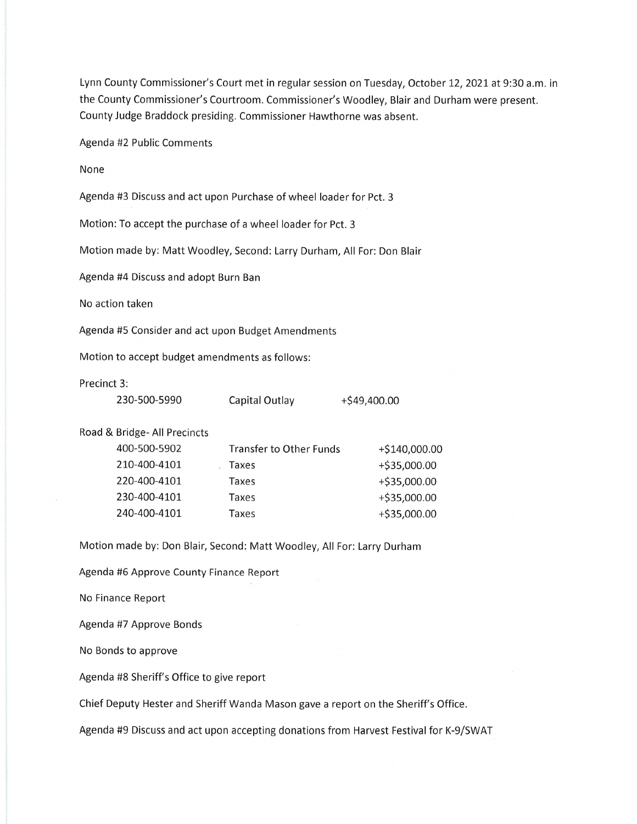Lynn County Commissioner's Court met in regular session on Tuesday, October 12,2021at 9:30 a.m. in the County Commissioner's Courtroom. Commissioner's Woodley, Blair and Durham were present. County Judge Braddock presiding. Commissioner Hawthorne was absent.

Agenda #2 Public Comments

None

Agenda #3 Discuss and act upon Purchase of wheel loader for Pct. 3

Motion: To accept the purchase of a wheel loader for Pct. <sup>3</sup>

Motion made by: Matt Woodley, Second: Larry Durham, All For: Don Blair

Agenda #4 Discuss and adopt Burn Ban

No action taken

Agenda #5 Consider and act upon Budget Amendments

Motion to accept budget amendments as follows:

Precinct 3:

| 230-500-5990 | Capital Outlay | $+$ \$49,400.00 |
|--------------|----------------|-----------------|
|--------------|----------------|-----------------|

Road & Bridge- All Precincts

| 400-500-5902 | <b>Transfer to Other Funds</b> | +\$140,000.00  |
|--------------|--------------------------------|----------------|
| 210-400-4101 | Taxes                          | +\$35,000.00   |
| 220-400-4101 | Taxes                          | +\$35,000.00   |
| 230-400-4101 | Taxes                          | +\$35,000.00   |
| 240-400-4101 | Taxes                          | $+ $35,000.00$ |
|              |                                |                |

Motion made by: Don Blair, Second: Matt Woodley, All For: Larry Durham

Agenda #6 Approve County Finance Report

No Finance Report

Agenda #7 Approve Bonds

No Bonds to approve

Agenda #8 Sheriff's Office to give report

Chief Deputy Hester and Sheriff Wanda Mason gave a report on the Sheriff's Office.

Agenda #9 Discuss and act upon accepting donations from Harvest Festival for K-9/SWAT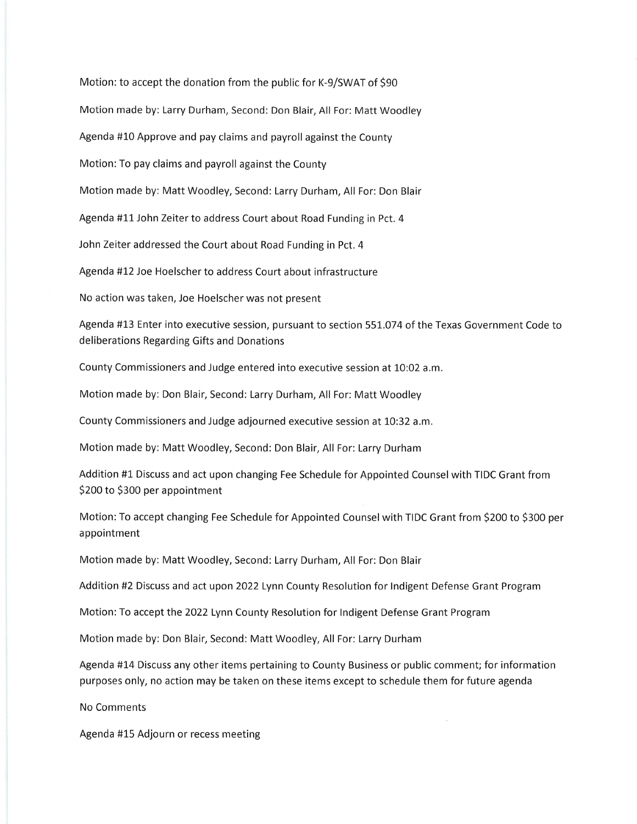Motion: to accept the donation from the public for K-9/SWAT of S90 Motion made by: Larry Durham, Second: Don Blair, All For: Matt Woodley Agenda #10 Approve and pay claims and payroll against the County Motion: To pay claims and payroll against the County Motion made by: Matt Woodley, Second: Larry Durham, All For: Don Blair Agenda #11 John Zeiter to address Court about Road Funding in Pct. 4 John Zeiter addressed the Court about Road Funding in Pct. 4 Agenda #12 Joe Hoelscher to address Court about infrastructure No action was taken, Joe Hoelscher was not present

Agenda #13 Enter into executive session, pursuant to section 551.074 of the Texas Government Code to deliberations Regarding Gifts and Donations

County Commissioners and Judge entered into executive session at 10:02 a.m.

Motion made by: Don Blair, Second: Larry Durham, All For: Matt Woodley

County Commissioners and Judge adjourned executive session at 10:32 a.m.

Motion made by: Matt Woodley, Second: Don Blair, All For: Larry Durham

Addition #1 Discuss and act upon changing Fee Schedule for Appointed Counselwith TIDC Grant from \$200 to \$300 per appointment

Motion: To accept changing Fee Schedule for Appointed Counsel with TIDC Grant from \$200 to \$300 per appointment

Motion made by: Matt Woodley, Second: Larry Durham, All For: Don Blair

Addition #2 Discuss and act upon 2022 Lynn County Resolution for Indigent Defense Grant Program

Motion: To accept the 2022 Lynn County Resolution for Indigent Defense Grant Program

Motion made by: Don Blair, Second: Matt Woodley, All For: Larry Durham

Agenda #14 Discuss any other items pertaining to County Business or public comment; for information purposes only, no action may be taken on these items except to schedule them for future agenda

No Comments

Agenda #15 Adjourn or recess meeting